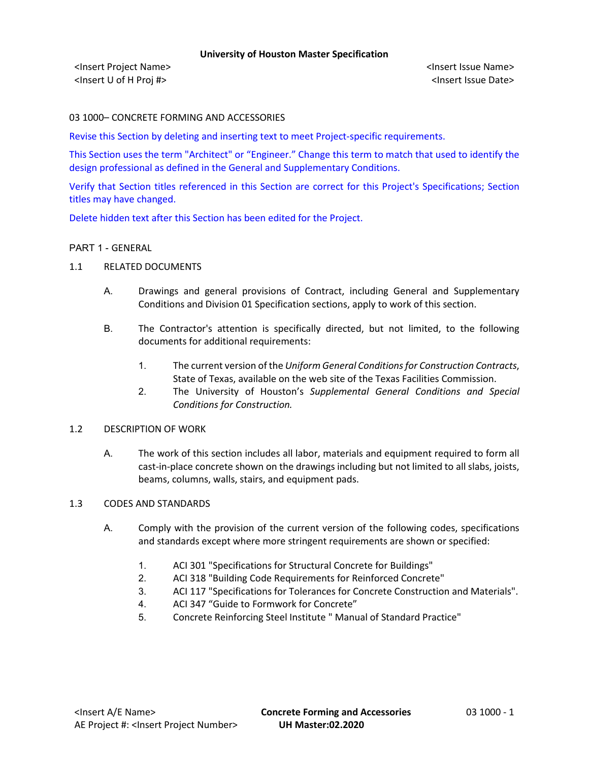<Insert Project Name> <Insert Issue Name> <Insert U of H Proj #> <Insert Issue Date>

03 1000– CONCRETE FORMING AND ACCESSORIES

Revise this Section by deleting and inserting text to meet Project-specific requirements.

This Section uses the term "Architect" or "Engineer." Change this term to match that used to identify the design professional as defined in the General and Supplementary Conditions.

Verify that Section titles referenced in this Section are correct for this Project's Specifications; Section titles may have changed.

Delete hidden text after this Section has been edited for the Project.

### PART 1 - GENERAL

- 1.1 RELATED DOCUMENTS
	- A. Drawings and general provisions of Contract, including General and Supplementary Conditions and Division 01 Specification sections, apply to work of this section.
	- B. The Contractor's attention is specifically directed, but not limited, to the following documents for additional requirements:
		- 1. The current version of the *Uniform General Conditions for Construction Contracts*, State of Texas, available on the web site of the Texas Facilities Commission.
		- 2. The University of Houston's *Supplemental General Conditions and Special Conditions for Construction.*

#### 1.2 DESCRIPTION OF WORK

A. The work of this section includes all labor, materials and equipment required to form all cast-in-place concrete shown on the drawings including but not limited to all slabs, joists, beams, columns, walls, stairs, and equipment pads.

#### 1.3 CODES AND STANDARDS

- A. Comply with the provision of the current version of the following codes, specifications and standards except where more stringent requirements are shown or specified:
	- 1. ACI 301 "Specifications for Structural Concrete for Buildings"
	- 2. ACI 318 "Building Code Requirements for Reinforced Concrete"
	- 3. ACI 117 "Specifications for Tolerances for Concrete Construction and Materials".
	- 4. ACI 347 "Guide to Formwork for Concrete"
	- 5. Concrete Reinforcing Steel Institute " Manual of Standard Practice"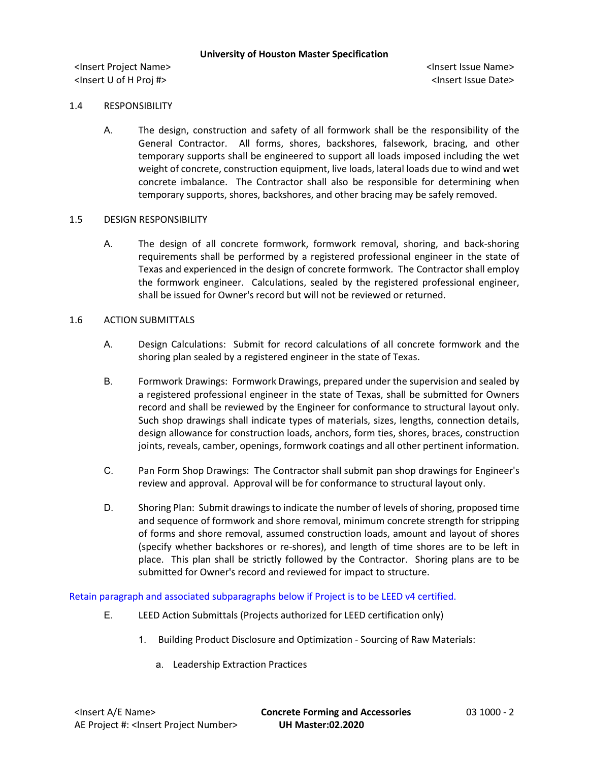<Insert Project Name> <Insert Issue Name> <Insert U of H Proj #> <Insert Issue Date>

### 1.4 RESPONSIBILITY

A. The design, construction and safety of all formwork shall be the responsibility of the General Contractor. All forms, shores, backshores, falsework, bracing, and other temporary supports shall be engineered to support all loads imposed including the wet weight of concrete, construction equipment, live loads, lateral loads due to wind and wet concrete imbalance. The Contractor shall also be responsible for determining when temporary supports, shores, backshores, and other bracing may be safely removed.

### 1.5 DESIGN RESPONSIBILITY

A. The design of all concrete formwork, formwork removal, shoring, and back-shoring requirements shall be performed by a registered professional engineer in the state of Texas and experienced in the design of concrete formwork. The Contractor shall employ the formwork engineer. Calculations, sealed by the registered professional engineer, shall be issued for Owner's record but will not be reviewed or returned.

### 1.6 ACTION SUBMITTALS

- A. Design Calculations: Submit for record calculations of all concrete formwork and the shoring plan sealed by a registered engineer in the state of Texas.
- B. Formwork Drawings: Formwork Drawings, prepared under the supervision and sealed by a registered professional engineer in the state of Texas, shall be submitted for Owners record and shall be reviewed by the Engineer for conformance to structural layout only. Such shop drawings shall indicate types of materials, sizes, lengths, connection details, design allowance for construction loads, anchors, form ties, shores, braces, construction joints, reveals, camber, openings, formwork coatings and all other pertinent information.
- C. Pan Form Shop Drawings: The Contractor shall submit pan shop drawings for Engineer's review and approval. Approval will be for conformance to structural layout only.
- D. Shoring Plan: Submit drawings to indicate the number of levels of shoring, proposed time and sequence of formwork and shore removal, minimum concrete strength for stripping of forms and shore removal, assumed construction loads, amount and layout of shores (specify whether backshores or re-shores), and length of time shores are to be left in place. This plan shall be strictly followed by the Contractor. Shoring plans are to be submitted for Owner's record and reviewed for impact to structure.

Retain paragraph and associated subparagraphs below if Project is to be LEED v4 certified.

- E. LEED Action Submittals (Projects authorized for LEED certification only)
	- 1. Building Product Disclosure and Optimization Sourcing of Raw Materials:
		- a. Leadership Extraction Practices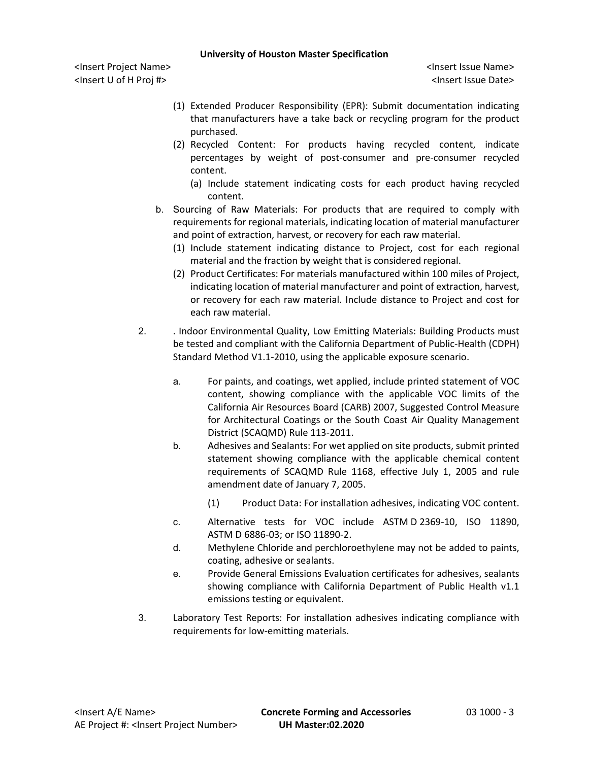<Insert Project Name> <Insert Issue Name> <Insert U of H Proj #> <Insert Issue Date>

- (1) Extended Producer Responsibility (EPR): Submit documentation indicating that manufacturers have a take back or recycling program for the product purchased.
- (2) Recycled Content: For products having recycled content, indicate percentages by weight of post-consumer and pre-consumer recycled content.
	- (a) Include statement indicating costs for each product having recycled content.
- b. Sourcing of Raw Materials: For products that are required to comply with requirements for regional materials, indicating location of material manufacturer and point of extraction, harvest, or recovery for each raw material.
	- (1) Include statement indicating distance to Project, cost for each regional material and the fraction by weight that is considered regional.
	- (2) Product Certificates: For materials manufactured within 100 miles of Project, indicating location of material manufacturer and point of extraction, harvest, or recovery for each raw material. Include distance to Project and cost for each raw material.
- 2. . Indoor Environmental Quality, Low Emitting Materials: Building Products must be tested and compliant with the California Department of Public-Health (CDPH) Standard Method V1.1-2010, using the applicable exposure scenario.
	- a. For paints, and coatings, wet applied, include printed statement of VOC content, showing compliance with the applicable VOC limits of the California Air Resources Board (CARB) 2007, Suggested Control Measure for Architectural Coatings or the South Coast Air Quality Management District (SCAQMD) Rule 113-2011.
	- b. Adhesives and Sealants: For wet applied on site products, submit printed statement showing compliance with the applicable chemical content requirements of SCAQMD Rule 1168, effective July 1, 2005 and rule amendment date of January 7, 2005.
		- (1) Product Data: For installation adhesives, indicating VOC content.
	- c. Alternative tests for VOC include ASTM D 2369-10, ISO 11890, ASTM D 6886-03; or ISO 11890-2.
	- d. Methylene Chloride and perchloroethylene may not be added to paints, coating, adhesive or sealants.
	- e. Provide General Emissions Evaluation certificates for adhesives, sealants showing compliance with California Department of Public Health v1.1 emissions testing or equivalent.
- 3. Laboratory Test Reports: For installation adhesives indicating compliance with requirements for low-emitting materials.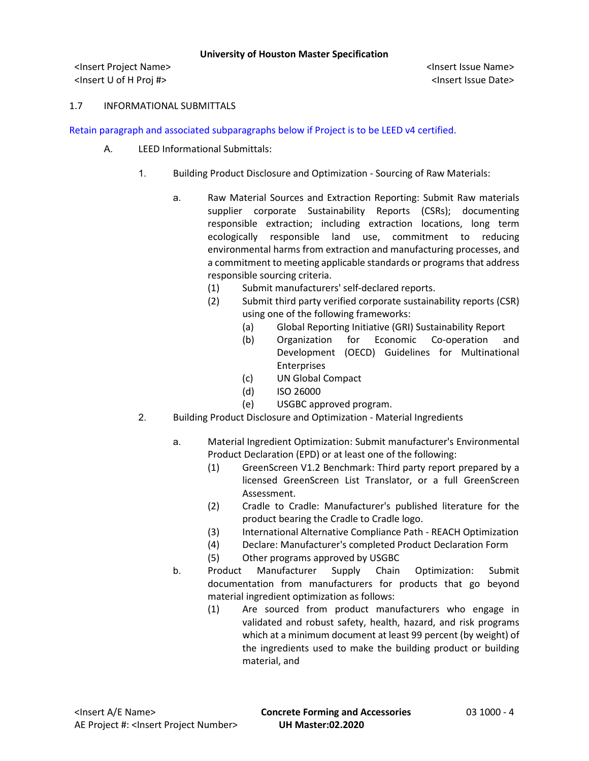<Insert Project Name> <Insert Issue Name> <Insert U of H Proj #> <Insert Issue Date>

### 1.7 INFORMATIONAL SUBMITTALS

Retain paragraph and associated subparagraphs below if Project is to be LEED v4 certified.

- A. LEED Informational Submittals:
	- 1. Building Product Disclosure and Optimization Sourcing of Raw Materials:
		- a. Raw Material Sources and Extraction Reporting: Submit Raw materials supplier corporate Sustainability Reports (CSRs); documenting responsible extraction; including extraction locations, long term ecologically responsible land use, commitment to reducing environmental harms from extraction and manufacturing processes, and a commitment to meeting applicable standards or programs that address responsible sourcing criteria.
			- (1) Submit manufacturers' self-declared reports.
			- (2) Submit third party verified corporate sustainability reports (CSR) using one of the following frameworks:
				- (a) Global Reporting Initiative (GRI) Sustainability Report
				- (b) Organization for Economic Co-operation and Development (OECD) Guidelines for Multinational Enterprises
				- (c) UN Global Compact
				- (d) ISO 26000
				- (e) USGBC approved program.
	- 2. Building Product Disclosure and Optimization Material Ingredients
		- a. Material Ingredient Optimization: Submit manufacturer's Environmental Product Declaration (EPD) or at least one of the following:
			- (1) GreenScreen V1.2 Benchmark: Third party report prepared by a licensed GreenScreen List Translator, or a full GreenScreen Assessment.
			- (2) Cradle to Cradle: Manufacturer's published literature for the product bearing the Cradle to Cradle logo.
			- (3) International Alternative Compliance Path REACH Optimization
			- (4) Declare: Manufacturer's completed Product Declaration Form
			- (5) Other programs approved by USGBC
		- b. Product Manufacturer Supply Chain Optimization: Submit documentation from manufacturers for products that go beyond material ingredient optimization as follows:
			- (1) Are sourced from product manufacturers who engage in validated and robust safety, health, hazard, and risk programs which at a minimum document at least 99 percent (by weight) of the ingredients used to make the building product or building material, and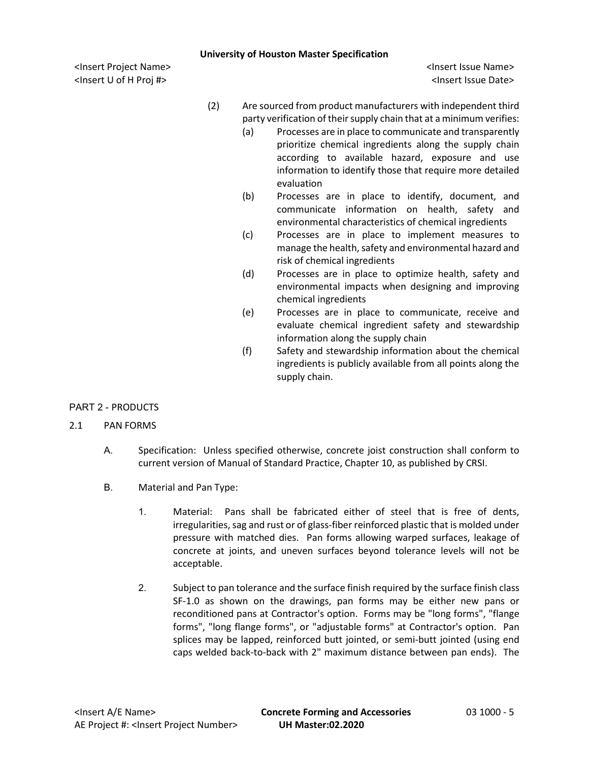<Insert Project Name> <Insert Issue Name> <Insert U of H Proj #> <Insert Issue Date>

- (2) Are sourced from product manufacturers with independent third party verification of their supply chain that at a minimum verifies:
	- (a) Processes are in place to communicate and transparently prioritize chemical ingredients along the supply chain according to available hazard, exposure and use information to identify those that require more detailed evaluation
	- (b) Processes are in place to identify, document, and communicate information on health, safety and environmental characteristics of chemical ingredients
	- (c) Processes are in place to implement measures to manage the health, safety and environmental hazard and risk of chemical ingredients
	- (d) Processes are in place to optimize health, safety and environmental impacts when designing and improving chemical ingredients
	- (e) Processes are in place to communicate, receive and evaluate chemical ingredient safety and stewardship information along the supply chain
	- (f) Safety and stewardship information about the chemical ingredients is publicly available from all points along the supply chain.

# PART 2 - PRODUCTS

# 2.1 PAN FORMS

- A. Specification: Unless specified otherwise, concrete joist construction shall conform to current version of Manual of Standard Practice, Chapter 10, as published by CRSI.
- B. Material and Pan Type:
	- 1. Material: Pans shall be fabricated either of steel that is free of dents, irregularities, sag and rust or of glass-fiber reinforced plastic that is molded under pressure with matched dies. Pan forms allowing warped surfaces, leakage of concrete at joints, and uneven surfaces beyond tolerance levels will not be acceptable.
	- 2. Subject to pan tolerance and the surface finish required by the surface finish class SF-1.0 as shown on the drawings, pan forms may be either new pans or reconditioned pans at Contractor's option. Forms may be "long forms", "flange forms", "long flange forms", or "adjustable forms" at Contractor's option. Pan splices may be lapped, reinforced butt jointed, or semi-butt jointed (using end caps welded back-to-back with 2" maximum distance between pan ends). The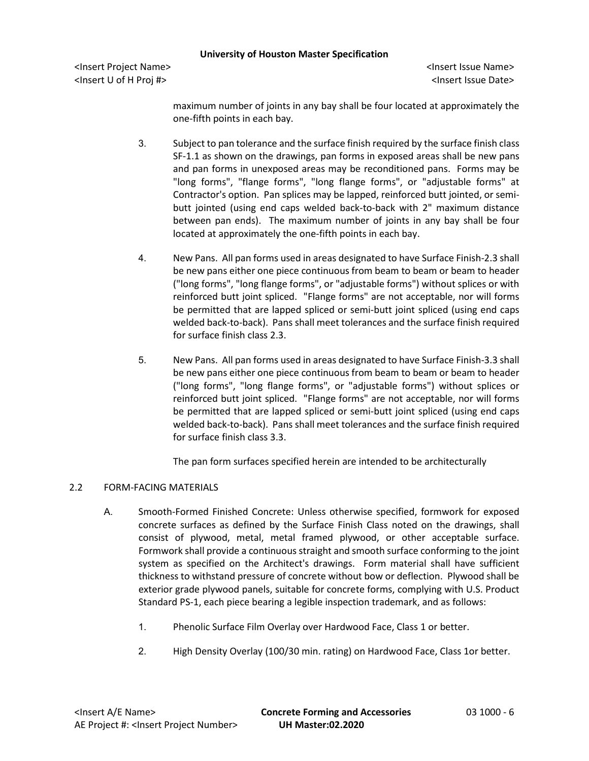<Insert Project Name> <Insert Issue Name> <Insert U of H Proj #> <Insert Issue Date>

maximum number of joints in any bay shall be four located at approximately the one-fifth points in each bay.

- 3. Subject to pan tolerance and the surface finish required by the surface finish class SF-1.1 as shown on the drawings, pan forms in exposed areas shall be new pans and pan forms in unexposed areas may be reconditioned pans. Forms may be "long forms", "flange forms", "long flange forms", or "adjustable forms" at Contractor's option. Pan splices may be lapped, reinforced butt jointed, or semibutt jointed (using end caps welded back-to-back with 2" maximum distance between pan ends). The maximum number of joints in any bay shall be four located at approximately the one-fifth points in each bay.
- 4. New Pans. All pan forms used in areas designated to have Surface Finish-2.3 shall be new pans either one piece continuous from beam to beam or beam to header ("long forms", "long flange forms", or "adjustable forms") without splices or with reinforced butt joint spliced. "Flange forms" are not acceptable, nor will forms be permitted that are lapped spliced or semi-butt joint spliced (using end caps welded back-to-back). Pans shall meet tolerances and the surface finish required for surface finish class 2.3.
- 5. New Pans. All pan forms used in areas designated to have Surface Finish-3.3 shall be new pans either one piece continuous from beam to beam or beam to header ("long forms", "long flange forms", or "adjustable forms") without splices or reinforced butt joint spliced. "Flange forms" are not acceptable, nor will forms be permitted that are lapped spliced or semi-butt joint spliced (using end caps welded back-to-back). Pans shall meet tolerances and the surface finish required for surface finish class 3.3.

The pan form surfaces specified herein are intended to be architecturally

# 2.2 FORM-FACING MATERIALS

- A. Smooth-Formed Finished Concrete: Unless otherwise specified, formwork for exposed concrete surfaces as defined by the Surface Finish Class noted on the drawings, shall consist of plywood, metal, metal framed plywood, or other acceptable surface. Formwork shall provide a continuous straight and smooth surface conforming to the joint system as specified on the Architect's drawings. Form material shall have sufficient thickness to withstand pressure of concrete without bow or deflection. Plywood shall be exterior grade plywood panels, suitable for concrete forms, complying with U.S. Product Standard PS-1, each piece bearing a legible inspection trademark, and as follows:
	- 1. Phenolic Surface Film Overlay over Hardwood Face, Class 1 or better.
	- 2. High Density Overlay (100/30 min. rating) on Hardwood Face, Class 1or better.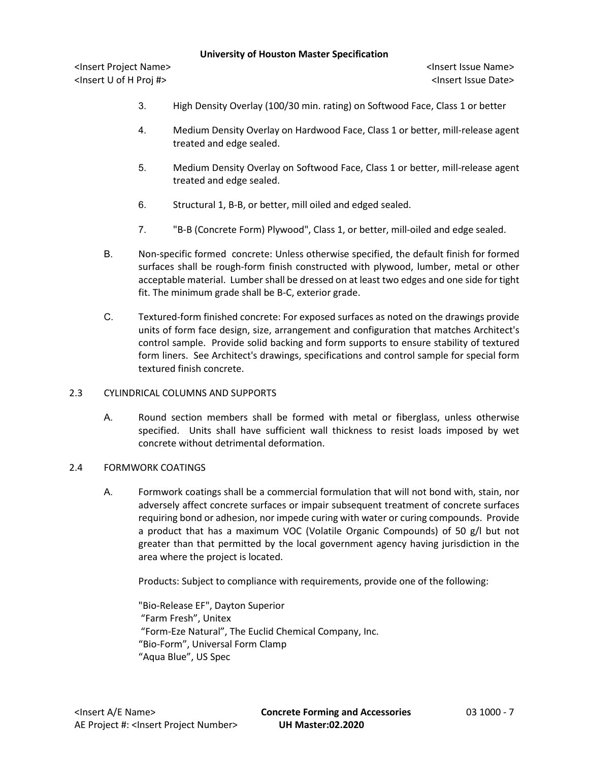<Insert Project Name> <Insert Issue Name> <Insert U of H Proj #> <Insert Issue Date>

- 3. High Density Overlay (100/30 min. rating) on Softwood Face, Class 1 or better
- 4. Medium Density Overlay on Hardwood Face, Class 1 or better, mill-release agent treated and edge sealed.
- 5. Medium Density Overlay on Softwood Face, Class 1 or better, mill-release agent treated and edge sealed.
- 6. Structural 1, B-B, or better, mill oiled and edged sealed.
- 7. "B-B (Concrete Form) Plywood", Class 1, or better, mill-oiled and edge sealed.
- B. Non-specific formed concrete: Unless otherwise specified, the default finish for formed surfaces shall be rough-form finish constructed with plywood, lumber, metal or other acceptable material. Lumber shall be dressed on at least two edges and one side for tight fit. The minimum grade shall be B-C, exterior grade.
- C. Textured-form finished concrete: For exposed surfaces as noted on the drawings provide units of form face design, size, arrangement and configuration that matches Architect's control sample. Provide solid backing and form supports to ensure stability of textured form liners. See Architect's drawings, specifications and control sample for special form textured finish concrete.

# 2.3 CYLINDRICAL COLUMNS AND SUPPORTS

A. Round section members shall be formed with metal or fiberglass, unless otherwise specified. Units shall have sufficient wall thickness to resist loads imposed by wet concrete without detrimental deformation.

# 2.4 FORMWORK COATINGS

A. Formwork coatings shall be a commercial formulation that will not bond with, stain, nor adversely affect concrete surfaces or impair subsequent treatment of concrete surfaces requiring bond or adhesion, nor impede curing with water or curing compounds. Provide a product that has a maximum VOC (Volatile Organic Compounds) of 50 g/l but not greater than that permitted by the local government agency having jurisdiction in the area where the project is located.

Products: Subject to compliance with requirements, provide one of the following:

"Bio-Release EF", Dayton Superior "Farm Fresh", Unitex "Form-Eze Natural", The Euclid Chemical Company, Inc. "Bio-Form", Universal Form Clamp "Aqua Blue", US Spec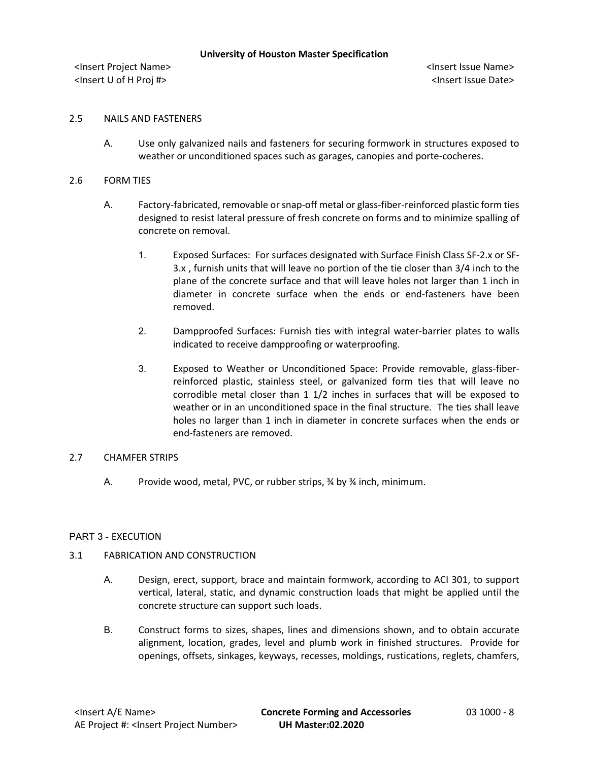<Insert Project Name> <Insert Issue Name> <Insert U of H Proj #> <Insert Issue Date>

### 2.5 NAILS AND FASTENERS

A. Use only galvanized nails and fasteners for securing formwork in structures exposed to weather or unconditioned spaces such as garages, canopies and porte-cocheres.

### 2.6 FORM TIES

- A. Factory-fabricated, removable or snap-off metal or glass-fiber-reinforced plastic form ties designed to resist lateral pressure of fresh concrete on forms and to minimize spalling of concrete on removal.
	- 1. Exposed Surfaces: For surfaces designated with Surface Finish Class SF-2.x or SF-3.x , furnish units that will leave no portion of the tie closer than 3/4 inch to the plane of the concrete surface and that will leave holes not larger than 1 inch in diameter in concrete surface when the ends or end-fasteners have been removed.
	- 2. Dampproofed Surfaces: Furnish ties with integral water-barrier plates to walls indicated to receive dampproofing or waterproofing.
	- 3. Exposed to Weather or Unconditioned Space: Provide removable, glass-fiberreinforced plastic, stainless steel, or galvanized form ties that will leave no corrodible metal closer than 1 1/2 inches in surfaces that will be exposed to weather or in an unconditioned space in the final structure. The ties shall leave holes no larger than 1 inch in diameter in concrete surfaces when the ends or end-fasteners are removed.

#### 2.7 CHAMFER STRIPS

A. Provide wood, metal, PVC, or rubber strips, % by % inch, minimum.

# PART 3 - EXECUTION

# 3.1 FABRICATION AND CONSTRUCTION

- A. Design, erect, support, brace and maintain formwork, according to ACI 301, to support vertical, lateral, static, and dynamic construction loads that might be applied until the concrete structure can support such loads.
- B. Construct forms to sizes, shapes, lines and dimensions shown, and to obtain accurate alignment, location, grades, level and plumb work in finished structures. Provide for openings, offsets, sinkages, keyways, recesses, moldings, rustications, reglets, chamfers,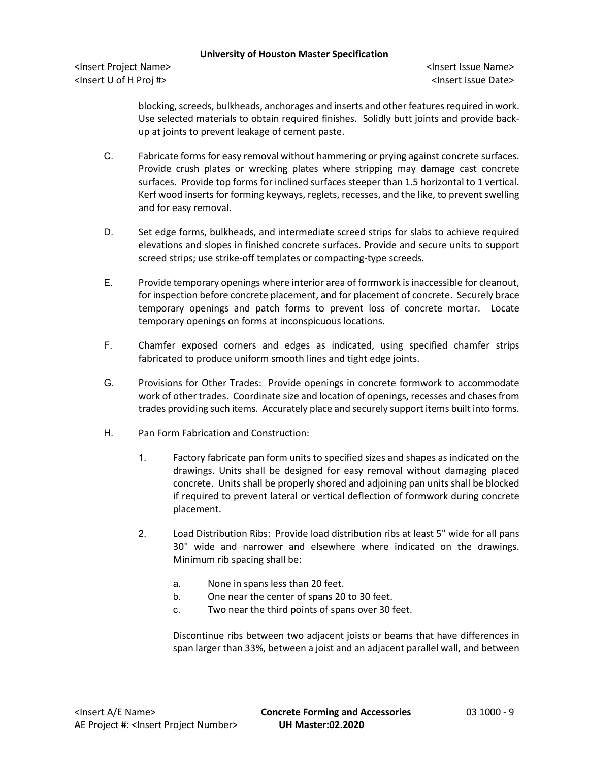<Insert Project Name> <Insert Issue Name> <Insert U of H Proj #> <Insert Issue Date>

blocking, screeds, bulkheads, anchorages and inserts and other features required in work. Use selected materials to obtain required finishes. Solidly butt joints and provide backup at joints to prevent leakage of cement paste.

- C. Fabricate forms for easy removal without hammering or prying against concrete surfaces. Provide crush plates or wrecking plates where stripping may damage cast concrete surfaces. Provide top forms for inclined surfaces steeper than 1.5 horizontal to 1 vertical. Kerf wood inserts for forming keyways, reglets, recesses, and the like, to prevent swelling and for easy removal.
- D. Set edge forms, bulkheads, and intermediate screed strips for slabs to achieve required elevations and slopes in finished concrete surfaces. Provide and secure units to support screed strips; use strike-off templates or compacting-type screeds.
- E. Provide temporary openings where interior area of formwork is inaccessible for cleanout, for inspection before concrete placement, and for placement of concrete. Securely brace temporary openings and patch forms to prevent loss of concrete mortar. Locate temporary openings on forms at inconspicuous locations.
- F. Chamfer exposed corners and edges as indicated, using specified chamfer strips fabricated to produce uniform smooth lines and tight edge joints.
- G. Provisions for Other Trades: Provide openings in concrete formwork to accommodate work of other trades. Coordinate size and location of openings, recesses and chases from trades providing such items. Accurately place and securely support items built into forms.
- H. Pan Form Fabrication and Construction:
	- 1. Factory fabricate pan form units to specified sizes and shapes as indicated on the drawings. Units shall be designed for easy removal without damaging placed concrete. Units shall be properly shored and adjoining pan units shall be blocked if required to prevent lateral or vertical deflection of formwork during concrete placement.
	- 2. Load Distribution Ribs: Provide load distribution ribs at least 5" wide for all pans 30" wide and narrower and elsewhere where indicated on the drawings. Minimum rib spacing shall be:
		- a. None in spans less than 20 feet.
		- b. One near the center of spans 20 to 30 feet.
		- c. Two near the third points of spans over 30 feet.

Discontinue ribs between two adjacent joists or beams that have differences in span larger than 33%, between a joist and an adjacent parallel wall, and between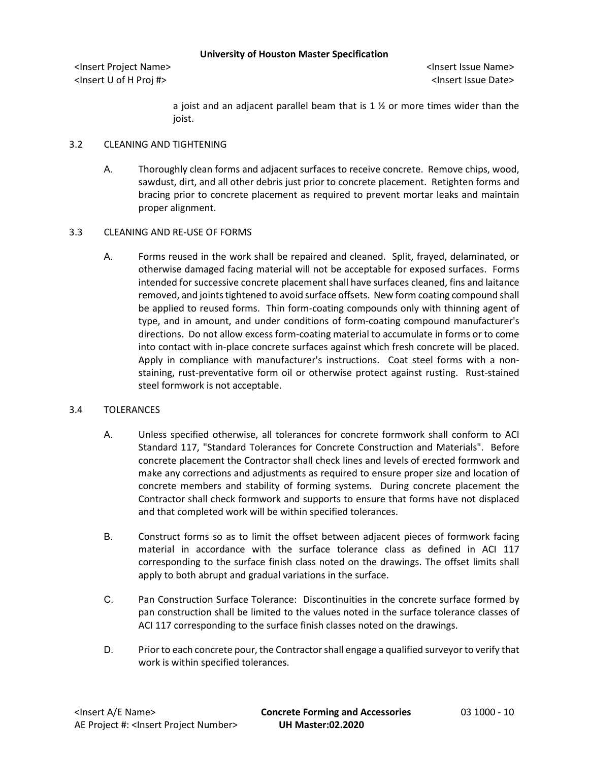<Insert Project Name> <Insert Issue Name> <Insert U of H Proj #> <Insert Issue Date>

a joist and an adjacent parallel beam that is 1  $\frac{1}{2}$  or more times wider than the joist.

## 3.2 CLEANING AND TIGHTENING

A. Thoroughly clean forms and adjacent surfaces to receive concrete. Remove chips, wood, sawdust, dirt, and all other debris just prior to concrete placement. Retighten forms and bracing prior to concrete placement as required to prevent mortar leaks and maintain proper alignment.

# 3.3 CLEANING AND RE-USE OF FORMS

A. Forms reused in the work shall be repaired and cleaned. Split, frayed, delaminated, or otherwise damaged facing material will not be acceptable for exposed surfaces. Forms intended for successive concrete placement shall have surfaces cleaned, fins and laitance removed, and joints tightened to avoid surface offsets. New form coating compound shall be applied to reused forms. Thin form-coating compounds only with thinning agent of type, and in amount, and under conditions of form-coating compound manufacturer's directions. Do not allow excess form-coating material to accumulate in forms or to come into contact with in-place concrete surfaces against which fresh concrete will be placed. Apply in compliance with manufacturer's instructions. Coat steel forms with a nonstaining, rust-preventative form oil or otherwise protect against rusting. Rust-stained steel formwork is not acceptable.

# 3.4 TOLERANCES

- A. Unless specified otherwise, all tolerances for concrete formwork shall conform to ACI Standard 117, "Standard Tolerances for Concrete Construction and Materials". Before concrete placement the Contractor shall check lines and levels of erected formwork and make any corrections and adjustments as required to ensure proper size and location of concrete members and stability of forming systems. During concrete placement the Contractor shall check formwork and supports to ensure that forms have not displaced and that completed work will be within specified tolerances.
- B. Construct forms so as to limit the offset between adjacent pieces of formwork facing material in accordance with the surface tolerance class as defined in ACI 117 corresponding to the surface finish class noted on the drawings. The offset limits shall apply to both abrupt and gradual variations in the surface.
- C. Pan Construction Surface Tolerance: Discontinuities in the concrete surface formed by pan construction shall be limited to the values noted in the surface tolerance classes of ACI 117 corresponding to the surface finish classes noted on the drawings.
- D. Prior to each concrete pour, the Contractor shall engage a qualified surveyor to verify that work is within specified tolerances.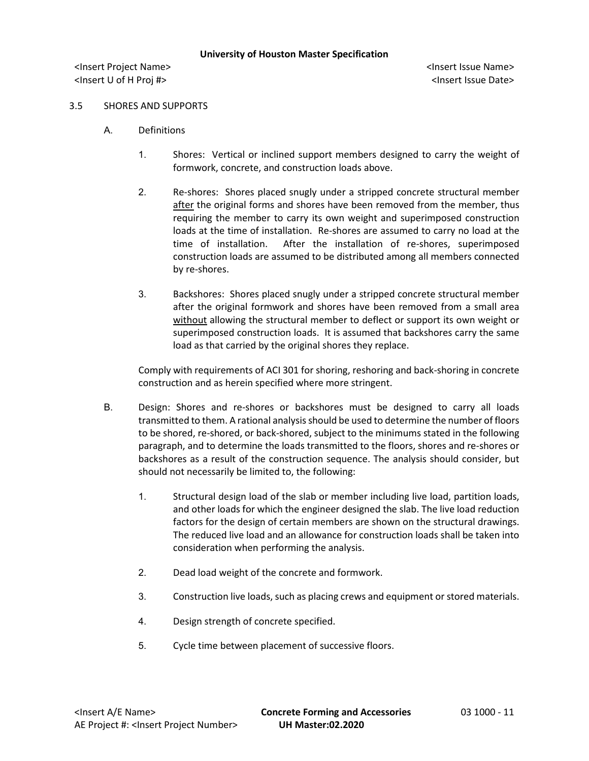<Insert Project Name> <Insert Issue Name> <Insert U of H Proj #> <Insert Issue Date>

### 3.5 SHORES AND SUPPORTS

- A. Definitions
	- 1. Shores: Vertical or inclined support members designed to carry the weight of formwork, concrete, and construction loads above.
	- 2. Re-shores: Shores placed snugly under a stripped concrete structural member after the original forms and shores have been removed from the member, thus requiring the member to carry its own weight and superimposed construction loads at the time of installation. Re-shores are assumed to carry no load at the time of installation. After the installation of re-shores, superimposed construction loads are assumed to be distributed among all members connected by re-shores.
	- 3. Backshores: Shores placed snugly under a stripped concrete structural member after the original formwork and shores have been removed from a small area without allowing the structural member to deflect or support its own weight or superimposed construction loads. It is assumed that backshores carry the same load as that carried by the original shores they replace.

Comply with requirements of ACI 301 for shoring, reshoring and back-shoring in concrete construction and as herein specified where more stringent.

- B. Design: Shores and re-shores or backshores must be designed to carry all loads transmitted to them. A rational analysis should be used to determine the number of floors to be shored, re-shored, or back-shored, subject to the minimums stated in the following paragraph, and to determine the loads transmitted to the floors, shores and re-shores or backshores as a result of the construction sequence. The analysis should consider, but should not necessarily be limited to, the following:
	- 1. Structural design load of the slab or member including live load, partition loads, and other loads for which the engineer designed the slab. The live load reduction factors for the design of certain members are shown on the structural drawings. The reduced live load and an allowance for construction loads shall be taken into consideration when performing the analysis.
	- 2. Dead load weight of the concrete and formwork.
	- 3. Construction live loads, such as placing crews and equipment or stored materials.
	- 4. Design strength of concrete specified.
	- 5. Cycle time between placement of successive floors.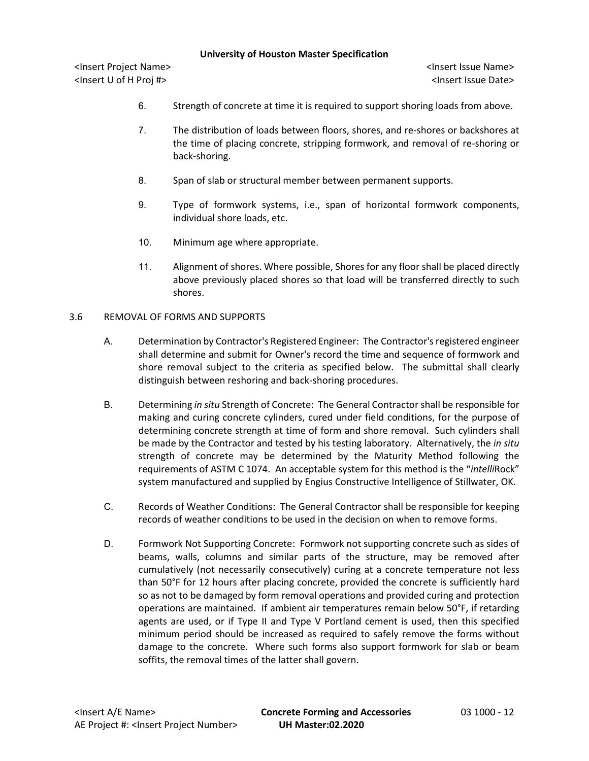<Insert Project Name> <Insert Issue Name> <Insert U of H Proj #> <Insert Issue Date>

- 6. Strength of concrete at time it is required to support shoring loads from above.
- 7. The distribution of loads between floors, shores, and re-shores or backshores at the time of placing concrete, stripping formwork, and removal of re-shoring or back-shoring.
- 8. Span of slab or structural member between permanent supports.
- 9. Type of formwork systems, i.e., span of horizontal formwork components, individual shore loads, etc.
- 10. Minimum age where appropriate.
- 11. Alignment of shores. Where possible, Shores for any floor shall be placed directly above previously placed shores so that load will be transferred directly to such shores.

#### 3.6 REMOVAL OF FORMS AND SUPPORTS

- A. Determination by Contractor's Registered Engineer: The Contractor's registered engineer shall determine and submit for Owner's record the time and sequence of formwork and shore removal subject to the criteria as specified below. The submittal shall clearly distinguish between reshoring and back-shoring procedures.
- B. Determining *in situ* Strength of Concrete: The General Contractor shall be responsible for making and curing concrete cylinders, cured under field conditions, for the purpose of determining concrete strength at time of form and shore removal. Such cylinders shall be made by the Contractor and tested by his testing laboratory. Alternatively, the *in situ* strength of concrete may be determined by the Maturity Method following the requirements of ASTM C 1074. An acceptable system for this method is the "*intelli*Rock" system manufactured and supplied by Engius Constructive Intelligence of Stillwater, OK.
- C. Records of Weather Conditions: The General Contractor shall be responsible for keeping records of weather conditions to be used in the decision on when to remove forms.
- D. Formwork Not Supporting Concrete: Formwork not supporting concrete such as sides of beams, walls, columns and similar parts of the structure, may be removed after cumulatively (not necessarily consecutively) curing at a concrete temperature not less than 50°F for 12 hours after placing concrete, provided the concrete is sufficiently hard so as not to be damaged by form removal operations and provided curing and protection operations are maintained. If ambient air temperatures remain below 50°F, if retarding agents are used, or if Type II and Type V Portland cement is used, then this specified minimum period should be increased as required to safely remove the forms without damage to the concrete. Where such forms also support formwork for slab or beam soffits, the removal times of the latter shall govern.